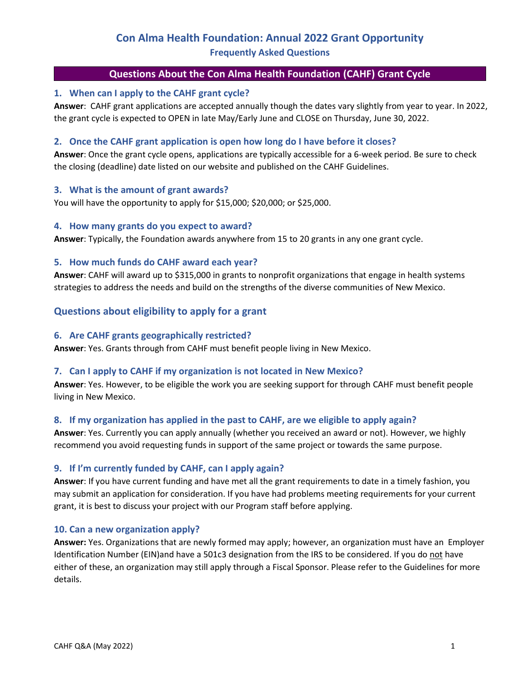# **Con Alma Health Foundation: Annual 2022 Grant Opportunity Frequently Asked Questions**

# **Questions About the Con Alma Health Foundation (CAHF) Grant Cycle**

### **1. When can I apply to the CAHF grant cycle?**

**Answer**: CAHF grant applications are accepted annually though the dates vary slightly from year to year. In 2022, the grant cycle is expected to OPEN in late May/Early June and CLOSE on Thursday, June 30, 2022.

### **2. Once the CAHF grant application is open how long do I have before it closes?**

**Answer**: Once the grant cycle opens, applications are typically accessible for a 6-week period. Be sure to check the closing (deadline) date listed on our website and published on the CAHF Guidelines.

### **3. What is the amount of grant awards?**

You will have the opportunity to apply for \$15,000; \$20,000; or \$25,000.

### **4. How many grants do you expect to award?**

**Answer**: Typically, the Foundation awards anywhere from 15 to 20 grants in any one grant cycle.

### **5. How much funds do CAHF award each year?**

**Answer**: CAHF will award up to \$315,000 in grants to nonprofit organizations that engage in health systems strategies to address the needs and build on the strengths of the diverse communities of New Mexico.

# **Questions about eligibility to apply for a grant**

### **6. Are CAHF grants geographically restricted?**

**Answer**: Yes. Grants through from CAHF must benefit people living in New Mexico.

### **7. Can I apply to CAHF if my organization is not located in New Mexico?**

**Answer**: Yes. However, to be eligible the work you are seeking support for through CAHF must benefit people living in New Mexico.

### **8. If my organization has applied in the past to CAHF, are we eligible to apply again?**

**Answer**: Yes. Currently you can apply annually (whether you received an award or not). However, we highly recommend you avoid requesting funds in support of the same project or towards the same purpose.

### **9. If I'm currently funded by CAHF, can I apply again?**

**Answer**: If you have current funding and have met all the grant requirements to date in a timely fashion, you may submit an application for consideration. If you have had problems meeting requirements for your current grant, it is best to discuss your project with our Program staff before applying.

### **10. Can a new organization apply?**

**Answer:** Yes. Organizations that are newly formed may apply; however, an organization must have an Employer Identification Number (EIN)and have a 501c3 designation from the IRS to be considered. If you do not have either of these, an organization may still apply through a Fiscal Sponsor. Please refer to the Guidelines for more details.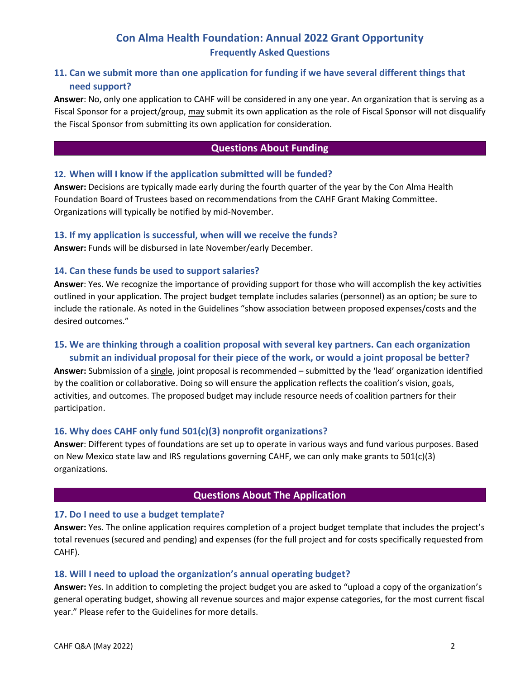# **Con Alma Health Foundation: Annual 2022 Grant Opportunity Frequently Asked Questions**

# **11. Can we submit more than one application for funding if we have several different things that need support?**

**Answer**: No, only one application to CAHF will be considered in any one year. An organization that is serving as a Fiscal Sponsor for a project/group, may submit its own application as the role of Fiscal Sponsor will not disqualify the Fiscal Sponsor from submitting its own application for consideration.

# **Questions About Funding**

# **12. When will I know if the application submitted will be funded?**

**Answer:** Decisions are typically made early during the fourth quarter of the year by the Con Alma Health Foundation Board of Trustees based on recommendations from the CAHF Grant Making Committee. Organizations will typically be notified by mid-November.

# **13. If my application is successful, when will we receive the funds?**

**Answer:** Funds will be disbursed in late November/early December.

# **14. Can these funds be used to support salaries?**

**Answer**: Yes. We recognize the importance of providing support for those who will accomplish the key activities outlined in your application. The project budget template includes salaries (personnel) as an option; be sure to include the rationale. As noted in the Guidelines "show association between proposed expenses/costs and the desired outcomes."

# **15. We are thinking through a coalition proposal with several key partners. Can each organization submit an individual proposal for their piece of the work, or would a joint proposal be better?**

**Answer:** Submission of a single, joint proposal is recommended – submitted by the 'lead' organization identified by the coalition or collaborative. Doing so will ensure the application reflects the coalition's vision, goals, activities, and outcomes. The proposed budget may include resource needs of coalition partners for their participation.

# **16. Why does CAHF only fund 501(c)(3) nonprofit organizations?**

**Answer**: Different types of foundations are set up to operate in various ways and fund various purposes. Based on New Mexico state law and IRS regulations governing CAHF, we can only make grants to 501(c)(3) organizations.

### **Questions About The Application**

# **17. Do I need to use a budget template?**

**Answer:** Yes. The online application requires completion of a project budget template that includes the project's total revenues (secured and pending) and expenses (for the full project and for costs specifically requested from CAHF).

# **18. Will I need to upload the organization's annual operating budget?**

**Answer:** Yes. In addition to completing the project budget you are asked to "upload a copy of the organization's general operating budget, showing all revenue sources and major expense categories, for the most current fiscal year." Please refer to the Guidelines for more details.